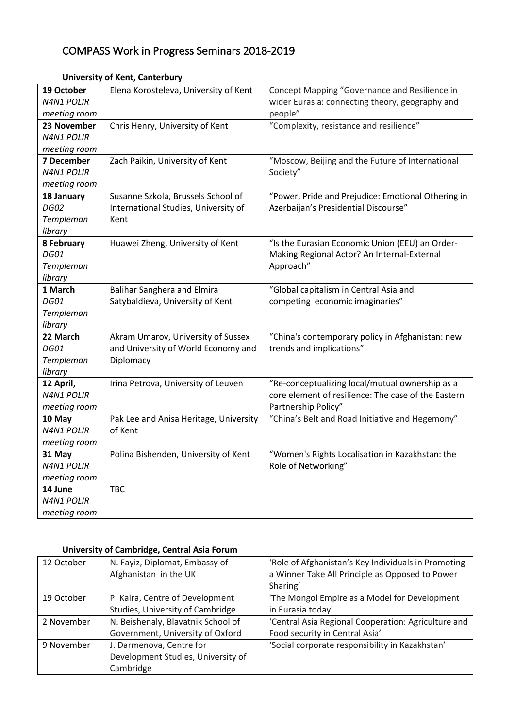## COMPASS Work in Progress Seminars 2018-2019

| 19 October        | Elena Korosteleva, University of Kent  | Concept Mapping "Governance and Resilience in       |
|-------------------|----------------------------------------|-----------------------------------------------------|
| <b>N4N1 POLIR</b> |                                        | wider Eurasia: connecting theory, geography and     |
| meeting room      |                                        | people"                                             |
| 23 November       | Chris Henry, University of Kent        | "Complexity, resistance and resilience"             |
| <b>N4N1 POLIR</b> |                                        |                                                     |
| meeting room      |                                        |                                                     |
| 7 December        | Zach Paikin, University of Kent        | "Moscow, Beijing and the Future of International    |
| <b>N4N1 POLIR</b> |                                        | Society"                                            |
| meeting room      |                                        |                                                     |
| 18 January        | Susanne Szkola, Brussels School of     | "Power, Pride and Prejudice: Emotional Othering in  |
| <b>DG02</b>       | International Studies, University of   | Azerbaijan's Presidential Discourse"                |
| Templeman         | Kent                                   |                                                     |
| library           |                                        |                                                     |
| 8 February        | Huawei Zheng, University of Kent       | "Is the Eurasian Economic Union (EEU) an Order-     |
| <b>DG01</b>       |                                        | Making Regional Actor? An Internal-External         |
| Templeman         |                                        | Approach"                                           |
| library           |                                        |                                                     |
| 1 March           | <b>Balihar Sanghera and Elmira</b>     | "Global capitalism in Central Asia and              |
| <b>DG01</b>       | Satybaldieva, University of Kent       | competing economic imaginaries"                     |
| Templeman         |                                        |                                                     |
| library           |                                        |                                                     |
| 22 March          | Akram Umarov, University of Sussex     | "China's contemporary policy in Afghanistan: new    |
| <b>DG01</b>       | and University of World Economy and    | trends and implications"                            |
| Templeman         | Diplomacy                              |                                                     |
| library           |                                        |                                                     |
| 12 April,         | Irina Petrova, University of Leuven    | "Re-conceptualizing local/mutual ownership as a     |
| <b>N4N1 POLIR</b> |                                        | core element of resilience: The case of the Eastern |
| meeting room      |                                        | Partnership Policy"                                 |
| 10 May            | Pak Lee and Anisa Heritage, University | "China's Belt and Road Initiative and Hegemony"     |
| <b>N4N1 POLIR</b> | of Kent                                |                                                     |
| meeting room      |                                        |                                                     |
| 31 May            | Polina Bishenden, University of Kent   | "Women's Rights Localisation in Kazakhstan: the     |
| <b>N4N1 POLIR</b> |                                        | Role of Networking"                                 |
| meeting room      |                                        |                                                     |
| 14 June           | <b>TBC</b>                             |                                                     |
| <b>N4N1 POLIR</b> |                                        |                                                     |
| meeting room      |                                        |                                                     |

## **University of Kent, Canterbury**

## **University of Cambridge, Central Asia Forum**

| 12 October | N. Fayiz, Diplomat, Embassy of     | 'Role of Afghanistan's Key Individuals in Promoting |
|------------|------------------------------------|-----------------------------------------------------|
|            | Afghanistan in the UK              | a Winner Take All Principle as Opposed to Power     |
|            |                                    | Sharing'                                            |
| 19 October | P. Kalra, Centre of Development    | 'The Mongol Empire as a Model for Development       |
|            | Studies, University of Cambridge   | in Eurasia today'                                   |
| 2 November | N. Beishenaly, Blavatnik School of | 'Central Asia Regional Cooperation: Agriculture and |
|            | Government, University of Oxford   | Food security in Central Asia'                      |
| 9 November | J. Darmenova, Centre for           | 'Social corporate responsibility in Kazakhstan'     |
|            | Development Studies, University of |                                                     |
|            | Cambridge                          |                                                     |